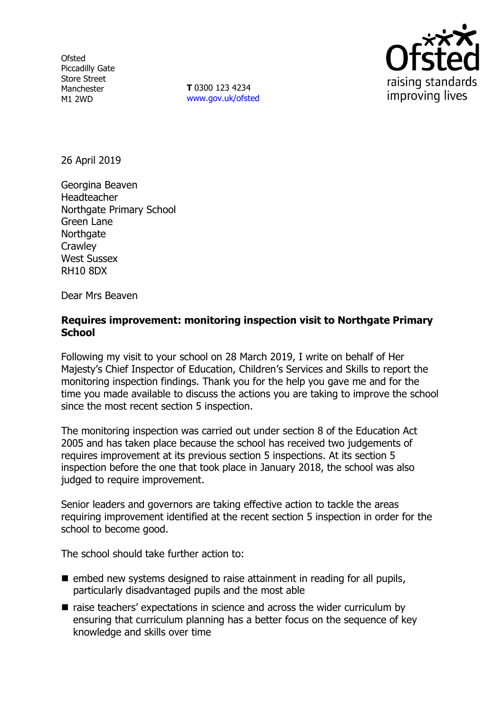**Ofsted** Piccadilly Gate Store Street Manchester M1 2WD

**T** 0300 123 4234 www.gov.uk/ofsted



26 April 2019

Georgina Beaven Headteacher Northgate Primary School Green Lane **Northgate Crawley** West Sussex RH10 8DX

Dear Mrs Beaven

### **Requires improvement: monitoring inspection visit to Northgate Primary School**

Following my visit to your school on 28 March 2019, I write on behalf of Her Majesty's Chief Inspector of Education, Children's Services and Skills to report the monitoring inspection findings. Thank you for the help you gave me and for the time you made available to discuss the actions you are taking to improve the school since the most recent section 5 inspection.

The monitoring inspection was carried out under section 8 of the Education Act 2005 and has taken place because the school has received two judgements of requires improvement at its previous section 5 inspections. At its section 5 inspection before the one that took place in January 2018, the school was also judged to require improvement.

Senior leaders and governors are taking effective action to tackle the areas requiring improvement identified at the recent section 5 inspection in order for the school to become good.

The school should take further action to:

- $\blacksquare$  embed new systems designed to raise attainment in reading for all pupils, particularly disadvantaged pupils and the most able
- raise teachers' expectations in science and across the wider curriculum by ensuring that curriculum planning has a better focus on the sequence of key knowledge and skills over time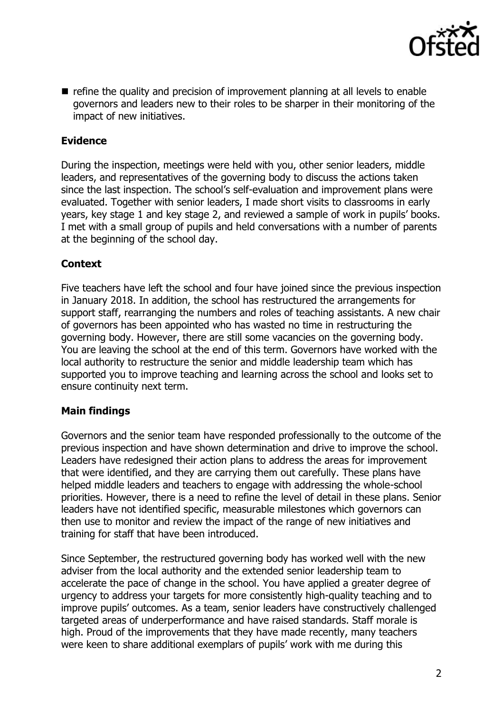

refine the quality and precision of improvement planning at all levels to enable governors and leaders new to their roles to be sharper in their monitoring of the impact of new initiatives.

## **Evidence**

During the inspection, meetings were held with you, other senior leaders, middle leaders, and representatives of the governing body to discuss the actions taken since the last inspection. The school's self-evaluation and improvement plans were evaluated. Together with senior leaders, I made short visits to classrooms in early years, key stage 1 and key stage 2, and reviewed a sample of work in pupils' books. I met with a small group of pupils and held conversations with a number of parents at the beginning of the school day.

#### **Context**

Five teachers have left the school and four have joined since the previous inspection in January 2018. In addition, the school has restructured the arrangements for support staff, rearranging the numbers and roles of teaching assistants. A new chair of governors has been appointed who has wasted no time in restructuring the governing body. However, there are still some vacancies on the governing body. You are leaving the school at the end of this term. Governors have worked with the local authority to restructure the senior and middle leadership team which has supported you to improve teaching and learning across the school and looks set to ensure continuity next term.

### **Main findings**

Governors and the senior team have responded professionally to the outcome of the previous inspection and have shown determination and drive to improve the school. Leaders have redesigned their action plans to address the areas for improvement that were identified, and they are carrying them out carefully. These plans have helped middle leaders and teachers to engage with addressing the whole-school priorities. However, there is a need to refine the level of detail in these plans. Senior leaders have not identified specific, measurable milestones which governors can then use to monitor and review the impact of the range of new initiatives and training for staff that have been introduced.

Since September, the restructured governing body has worked well with the new adviser from the local authority and the extended senior leadership team to accelerate the pace of change in the school. You have applied a greater degree of urgency to address your targets for more consistently high-quality teaching and to improve pupils' outcomes. As a team, senior leaders have constructively challenged targeted areas of underperformance and have raised standards. Staff morale is high. Proud of the improvements that they have made recently, many teachers were keen to share additional exemplars of pupils' work with me during this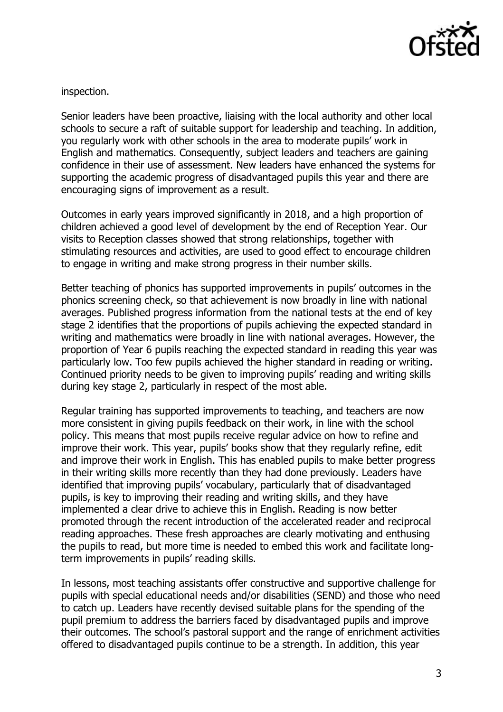

inspection.

Senior leaders have been proactive, liaising with the local authority and other local schools to secure a raft of suitable support for leadership and teaching. In addition, you regularly work with other schools in the area to moderate pupils' work in English and mathematics. Consequently, subject leaders and teachers are gaining confidence in their use of assessment. New leaders have enhanced the systems for supporting the academic progress of disadvantaged pupils this year and there are encouraging signs of improvement as a result.

Outcomes in early years improved significantly in 2018, and a high proportion of children achieved a good level of development by the end of Reception Year. Our visits to Reception classes showed that strong relationships, together with stimulating resources and activities, are used to good effect to encourage children to engage in writing and make strong progress in their number skills.

Better teaching of phonics has supported improvements in pupils' outcomes in the phonics screening check, so that achievement is now broadly in line with national averages. Published progress information from the national tests at the end of key stage 2 identifies that the proportions of pupils achieving the expected standard in writing and mathematics were broadly in line with national averages. However, the proportion of Year 6 pupils reaching the expected standard in reading this year was particularly low. Too few pupils achieved the higher standard in reading or writing. Continued priority needs to be given to improving pupils' reading and writing skills during key stage 2, particularly in respect of the most able.

Regular training has supported improvements to teaching, and teachers are now more consistent in giving pupils feedback on their work, in line with the school policy. This means that most pupils receive regular advice on how to refine and improve their work. This year, pupils' books show that they regularly refine, edit and improve their work in English. This has enabled pupils to make better progress in their writing skills more recently than they had done previously. Leaders have identified that improving pupils' vocabulary, particularly that of disadvantaged pupils, is key to improving their reading and writing skills, and they have implemented a clear drive to achieve this in English. Reading is now better promoted through the recent introduction of the accelerated reader and reciprocal reading approaches. These fresh approaches are clearly motivating and enthusing the pupils to read, but more time is needed to embed this work and facilitate longterm improvements in pupils' reading skills.

In lessons, most teaching assistants offer constructive and supportive challenge for pupils with special educational needs and/or disabilities (SEND) and those who need to catch up. Leaders have recently devised suitable plans for the spending of the pupil premium to address the barriers faced by disadvantaged pupils and improve their outcomes. The school's pastoral support and the range of enrichment activities offered to disadvantaged pupils continue to be a strength. In addition, this year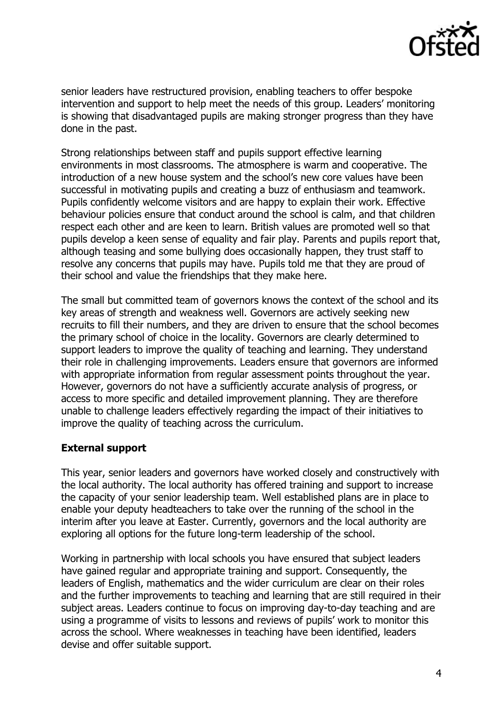

senior leaders have restructured provision, enabling teachers to offer bespoke intervention and support to help meet the needs of this group. Leaders' monitoring is showing that disadvantaged pupils are making stronger progress than they have done in the past.

Strong relationships between staff and pupils support effective learning environments in most classrooms. The atmosphere is warm and cooperative. The introduction of a new house system and the school's new core values have been successful in motivating pupils and creating a buzz of enthusiasm and teamwork. Pupils confidently welcome visitors and are happy to explain their work. Effective behaviour policies ensure that conduct around the school is calm, and that children respect each other and are keen to learn. British values are promoted well so that pupils develop a keen sense of equality and fair play. Parents and pupils report that, although teasing and some bullying does occasionally happen, they trust staff to resolve any concerns that pupils may have. Pupils told me that they are proud of their school and value the friendships that they make here.

The small but committed team of governors knows the context of the school and its key areas of strength and weakness well. Governors are actively seeking new recruits to fill their numbers, and they are driven to ensure that the school becomes the primary school of choice in the locality. Governors are clearly determined to support leaders to improve the quality of teaching and learning. They understand their role in challenging improvements. Leaders ensure that governors are informed with appropriate information from regular assessment points throughout the year. However, governors do not have a sufficiently accurate analysis of progress, or access to more specific and detailed improvement planning. They are therefore unable to challenge leaders effectively regarding the impact of their initiatives to improve the quality of teaching across the curriculum.

### **External support**

This year, senior leaders and governors have worked closely and constructively with the local authority. The local authority has offered training and support to increase the capacity of your senior leadership team. Well established plans are in place to enable your deputy headteachers to take over the running of the school in the interim after you leave at Easter. Currently, governors and the local authority are exploring all options for the future long-term leadership of the school.

Working in partnership with local schools you have ensured that subject leaders have gained regular and appropriate training and support. Consequently, the leaders of English, mathematics and the wider curriculum are clear on their roles and the further improvements to teaching and learning that are still required in their subject areas. Leaders continue to focus on improving day-to-day teaching and are using a programme of visits to lessons and reviews of pupils' work to monitor this across the school. Where weaknesses in teaching have been identified, leaders devise and offer suitable support.